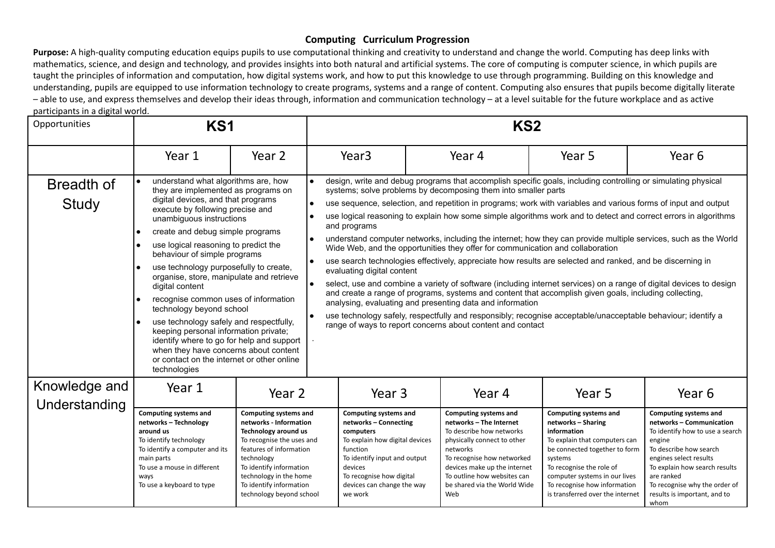**Purpose:** A high-quality computing education equips pupils to use computational thinking and creativity to understand and change the world. Computing has deep links with mathematics, science, and design and technology, and provides insights into both natural and artificial systems. The core of computing is computer science, in which pupils are taught the principles of information and computation, how digital systems work, and how to put this knowledge to use through programming. Building on this knowledge and understanding, pupils are equipped to use information technology to create programs, systems and a range of content. Computing also ensures that pupils become digitally literate – able to use, and express themselves and develop their ideas through, information and communication technology – at a level suitable for the future workplace and as active participants in a digital world.

| participarits in a digital world.<br>Opportunities | KS1                                                                                                                                                                                                                                                                                                                                                                                                                                                                                                                                                                                                                                                                                                                     |                                                                                                                                                                                                                                                                  | KS <sub>2</sub>                                                                                                                                                                                                                                                                                                                                                                                                                                                                                                                                                                                                                                                                                                                                                                                                                                                                                                                                                                                                                                                                                                                                                                                                                                                  |                                                                                                                                                                                                                                                                    |                                                                                                                                                                                                                                                                                 |                                                                                                                                                                                                                                                                                   |  |
|----------------------------------------------------|-------------------------------------------------------------------------------------------------------------------------------------------------------------------------------------------------------------------------------------------------------------------------------------------------------------------------------------------------------------------------------------------------------------------------------------------------------------------------------------------------------------------------------------------------------------------------------------------------------------------------------------------------------------------------------------------------------------------------|------------------------------------------------------------------------------------------------------------------------------------------------------------------------------------------------------------------------------------------------------------------|------------------------------------------------------------------------------------------------------------------------------------------------------------------------------------------------------------------------------------------------------------------------------------------------------------------------------------------------------------------------------------------------------------------------------------------------------------------------------------------------------------------------------------------------------------------------------------------------------------------------------------------------------------------------------------------------------------------------------------------------------------------------------------------------------------------------------------------------------------------------------------------------------------------------------------------------------------------------------------------------------------------------------------------------------------------------------------------------------------------------------------------------------------------------------------------------------------------------------------------------------------------|--------------------------------------------------------------------------------------------------------------------------------------------------------------------------------------------------------------------------------------------------------------------|---------------------------------------------------------------------------------------------------------------------------------------------------------------------------------------------------------------------------------------------------------------------------------|-----------------------------------------------------------------------------------------------------------------------------------------------------------------------------------------------------------------------------------------------------------------------------------|--|
|                                                    | Year 1                                                                                                                                                                                                                                                                                                                                                                                                                                                                                                                                                                                                                                                                                                                  | Year 2                                                                                                                                                                                                                                                           | Year <sub>3</sub>                                                                                                                                                                                                                                                                                                                                                                                                                                                                                                                                                                                                                                                                                                                                                                                                                                                                                                                                                                                                                                                                                                                                                                                                                                                | Year 4                                                                                                                                                                                                                                                             | Year 5                                                                                                                                                                                                                                                                          | Year 6                                                                                                                                                                                                                                                                            |  |
| Breadth of<br>Study                                | understand what algorithms are, how<br>they are implemented as programs on<br>digital devices, and that programs<br>execute by following precise and<br>unambiguous instructions<br>create and debug simple programs<br>le<br>use logical reasoning to predict the<br>behaviour of simple programs<br>use technology purposefully to create,<br>organise, store, manipulate and retrieve<br>digital content<br>recognise common uses of information<br>technology beyond school<br>use technology safely and respectfully,<br>keeping personal information private;<br>identify where to go for help and support<br>when they have concerns about content<br>or contact on the internet or other online<br>technologies | $\bullet$                                                                                                                                                                                                                                                        | design, write and debug programs that accomplish specific goals, including controlling or simulating physical<br>systems; solve problems by decomposing them into smaller parts<br>use sequence, selection, and repetition in programs; work with variables and various forms of input and output<br>use logical reasoning to explain how some simple algorithms work and to detect and correct errors in algorithms<br>and programs<br>understand computer networks, including the internet; how they can provide multiple services, such as the World<br>Wide Web, and the opportunities they offer for communication and collaboration<br>use search technologies effectively, appreciate how results are selected and ranked, and be discerning in<br>evaluating digital content<br>select, use and combine a variety of software (including internet services) on a range of digital devices to design<br>and create a range of programs, systems and content that accomplish given goals, including collecting,<br>analysing, evaluating and presenting data and information<br>use technology safely, respectfully and responsibly; recognise acceptable/unacceptable behaviour; identify a<br>range of ways to report concerns about content and contact |                                                                                                                                                                                                                                                                    |                                                                                                                                                                                                                                                                                 |                                                                                                                                                                                                                                                                                   |  |
| Knowledge and<br>Understanding                     | Year 1                                                                                                                                                                                                                                                                                                                                                                                                                                                                                                                                                                                                                                                                                                                  | Year 2                                                                                                                                                                                                                                                           | Year 3                                                                                                                                                                                                                                                                                                                                                                                                                                                                                                                                                                                                                                                                                                                                                                                                                                                                                                                                                                                                                                                                                                                                                                                                                                                           | Year 4                                                                                                                                                                                                                                                             | Year 5                                                                                                                                                                                                                                                                          | Year 6                                                                                                                                                                                                                                                                            |  |
|                                                    | <b>Computing systems and</b><br>networks - Technology<br>around us<br>To identify technology<br>To identify a computer and its<br>main parts<br>To use a mouse in different<br>ways<br>To use a keyboard to type                                                                                                                                                                                                                                                                                                                                                                                                                                                                                                        | <b>Computing systems and</b><br>networks - Information<br>Technology around us<br>To recognise the uses and<br>features of information<br>technology<br>To identify information<br>technology in the home<br>To identify information<br>technology beyond school | <b>Computing systems and</b><br>networks - Connecting<br>computers<br>To explain how digital devices<br>function<br>To identify input and output<br>devices<br>To recognise how digital<br>devices can change the way<br>we work                                                                                                                                                                                                                                                                                                                                                                                                                                                                                                                                                                                                                                                                                                                                                                                                                                                                                                                                                                                                                                 | <b>Computing systems and</b><br>networks - The Internet<br>To describe how networks<br>physically connect to other<br>networks<br>To recognise how networked<br>devices make up the internet<br>To outline how websites can<br>be shared via the World Wide<br>Web | <b>Computing systems and</b><br>networks - Sharing<br>information<br>To explain that computers can<br>be connected together to form<br>systems<br>To recognise the role of<br>computer systems in our lives<br>To recognise how information<br>is transferred over the internet | <b>Computing systems and</b><br>networks - Communication<br>To identify how to use a search<br>engine<br>To describe how search<br>engines select results<br>To explain how search results<br>are ranked<br>To recognise why the order of<br>results is important, and to<br>whom |  |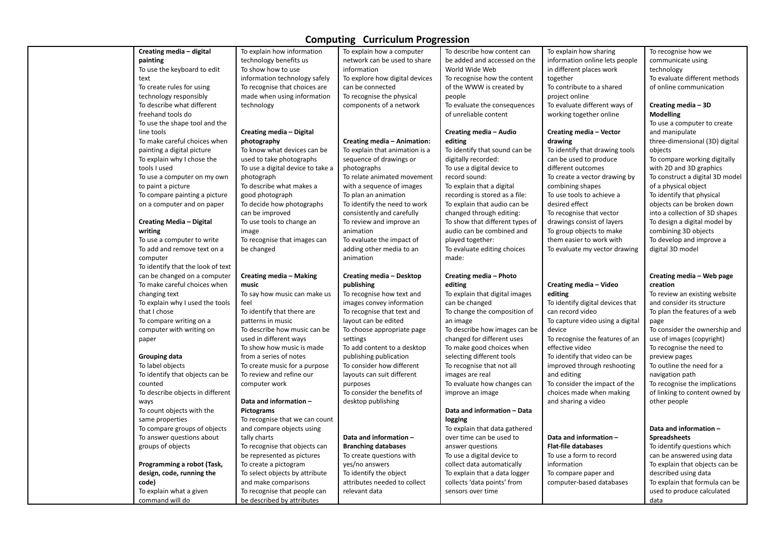| Creating media - digital                   | To explain how information                                 | To explain how a computer      | To describe how content can     | To explain how sharing           | To recognise how we                |
|--------------------------------------------|------------------------------------------------------------|--------------------------------|---------------------------------|----------------------------------|------------------------------------|
| painting                                   | technology benefits us                                     | network can be used to share   | be added and accessed on the    | information online lets people   | communicate using                  |
| To use the keyboard to edit                | To show how to use                                         | information                    | World Wide Web                  | in different places work         | technology                         |
| text                                       | information technology safely                              | To explore how digital devices | To recognise how the content    | together                         | To evaluate different methods      |
| To create rules for using                  | To recognise that choices are                              | can be connected               | of the WWW is created by        | To contribute to a shared        | of online communication            |
| technology responsibly                     | made when using information                                | To recognise the physical      | people                          | project online                   |                                    |
| To describe what different                 | technology                                                 | components of a network        | To evaluate the consequences    | To evaluate different ways of    | Creating media - 3D                |
| freehand tools do                          |                                                            |                                | of unreliable content           | working together online          | <b>Modelling</b>                   |
| To use the shape tool and the              |                                                            |                                |                                 |                                  | To use a computer to create        |
| line tools                                 | Creating media - Digital                                   |                                | Creating media - Audio          | Creating media - Vector          | and manipulate                     |
| To make careful choices when               | photography                                                | Creating media - Animation:    | editing                         | drawing                          | three-dimensional (3D) digital     |
| painting a digital picture                 | To know what devices can be                                | To explain that animation is a | To identify that sound can be   | To identify that drawing tools   | objects                            |
| To explain why I chose the                 | used to take photographs                                   | sequence of drawings or        | digitally recorded:             | can be used to produce           | To compare working digitally       |
| tools I used                               | To use a digital device to take a                          | photographs                    | To use a digital device to      | different outcomes               | with 2D and 3D graphics            |
| To use a computer on my own                | photograph                                                 | To relate animated movement    | record sound:                   | To create a vector drawing by    | To construct a digital 3D model    |
| to paint a picture                         | To describe what makes a                                   | with a sequence of images      | To explain that a digital       | combining shapes                 | of a physical object               |
| To compare painting a picture              | good photograph                                            | To plan an animation           | recording is stored as a file:  | To use tools to achieve a        | To identify that physical          |
| on a computer and on paper                 | To decide how photographs                                  | To identify the need to work   | To explain that audio can be    | desired effect                   | objects can be broken down         |
|                                            | can be improved                                            | consistently and carefully     | changed through editing:        | To recognise that vector         | into a collection of 3D shapes     |
| <b>Creating Media - Digital</b>            | To use tools to change an                                  | To review and improve an       | To show that different types of | drawings consist of layers       | To design a digital model by       |
| writing                                    | image                                                      | animation                      | audio can be combined and       | To group objects to make         | combining 3D objects               |
| To use a computer to write                 | To recognise that images can                               | To evaluate the impact of      | played together:                | them easier to work with         | To develop and improve a           |
| To add and remove text on a                | be changed                                                 | adding other media to an       | To evaluate editing choices     | To evaluate my vector drawing    | digital 3D model                   |
| computer                                   |                                                            | animation                      | made:                           |                                  |                                    |
| To identify that the look of text          |                                                            |                                |                                 |                                  |                                    |
| can be changed on a computer               | <b>Creating media - Making</b>                             | Creating media - Desktop       | Creating media - Photo          |                                  | Creating media - Web page          |
| To make careful choices when               | music                                                      | publishing                     | editing                         | Creating media - Video           | creation                           |
| changing text                              | To say how music can make us                               | To recognise how text and      | To explain that digital images  | editing                          | To review an existing website      |
| To explain why I used the tools            | feel                                                       | images convey information      | can be changed                  | To identify digital devices that | and consider its structure         |
| that I chose                               | To identify that there are                                 | To recognise that text and     | To change the composition of    | can record video                 | To plan the features of a web      |
| To compare writing on a                    | patterns in music                                          | layout can be edited           | an image                        | To capture video using a digital | page                               |
| computer with writing on                   | To describe how music can be                               | To choose appropriate page     |                                 |                                  |                                    |
| paper                                      |                                                            |                                |                                 |                                  |                                    |
|                                            |                                                            |                                | To describe how images can be   | device                           | To consider the ownership and      |
|                                            | used in different ways                                     | settings                       | changed for different uses      | To recognise the features of an  | use of images (copyright)          |
|                                            | To show how music is made                                  | To add content to a desktop    | To make good choices when       | effective video                  | To recognise the need to           |
| <b>Grouping data</b>                       | from a series of notes                                     | publishing publication         | selecting different tools       | To identify that video can be    | preview pages                      |
| To label objects                           | To create music for a purpose                              | To consider how different      | To recognise that not all       | improved through reshooting      | To outline the need for a          |
| To identify that objects can be            | To review and refine our                                   | layouts can suit different     | images are real                 | and editing                      | navigation path                    |
| counted                                    | computer work                                              | purposes                       | To evaluate how changes can     | To consider the impact of the    | To recognise the implications      |
| To describe objects in different           |                                                            | To consider the benefits of    | improve an image                | choices made when making         | of linking to content owned by     |
| ways                                       | Data and information -                                     | desktop publishing             |                                 | and sharing a video              | other people                       |
| To count objects with the                  | Pictograms                                                 |                                | Data and information - Data     |                                  |                                    |
| same properties                            | To recognise that we can count                             |                                | logging                         |                                  |                                    |
| To compare groups of objects               | and compare objects using                                  |                                | To explain that data gathered   |                                  | Data and information -             |
| To answer questions about                  | tally charts                                               | Data and information -         | over time can be used to        | Data and information -           | <b>Spreadsheets</b>                |
| groups of objects                          | To recognise that objects can                              | <b>Branching databases</b>     | answer questions                | <b>Flat-file databases</b>       | To identify questions which        |
|                                            | be represented as pictures                                 | To create questions with       | To use a digital device to      | To use a form to record          | can be answered using data         |
| Programming a robot (Task,                 | To create a pictogram                                      | yes/no answers                 | collect data automatically      | information                      | To explain that objects can be     |
| design, code, running the                  | To select objects by attribute                             | To identify the object         | To explain that a data logger   | To compare paper and             | described using data               |
| code)                                      | and make comparisons                                       | attributes needed to collect   | collects 'data points' from     | computer-based databases         | To explain that formula can be     |
| To explain what a given<br>command will do | To recognise that people can<br>be described by attributes | relevant data                  | sensors over time               |                                  | used to produce calculated<br>data |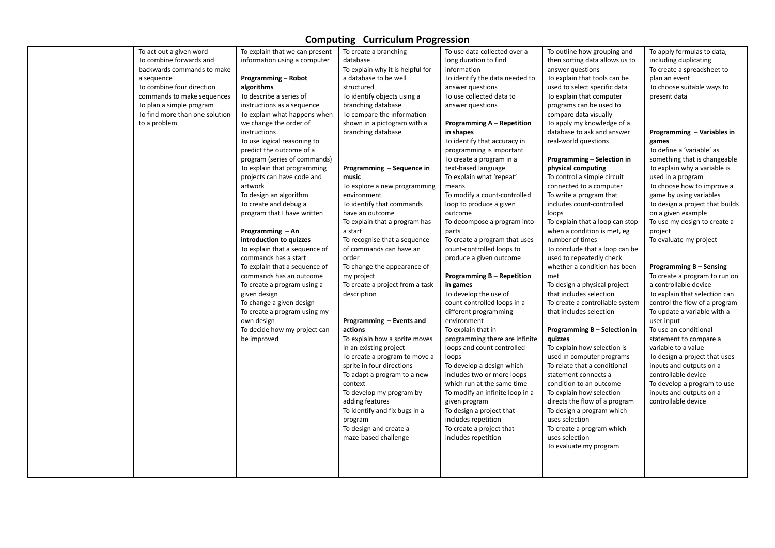| To act out a given word        | To explain that we can present | To create a branching            | To use data collected over a      | To outline how grouping and     | To apply formulas to data,      |
|--------------------------------|--------------------------------|----------------------------------|-----------------------------------|---------------------------------|---------------------------------|
| To combine forwards and        | information using a computer   | database                         | long duration to find             | then sorting data allows us to  | including duplicating           |
| backwards commands to make     |                                | To explain why it is helpful for | information                       | answer questions                | To create a spreadsheet to      |
| a sequence                     | <b>Programming - Robot</b>     | a database to be well            | To identify the data needed to    | To explain that tools can be    | plan an event                   |
| To combine four direction      | algorithms                     | structured                       | answer questions                  | used to select specific data    | To choose suitable ways to      |
| commands to make sequences     | To describe a series of        | To identify objects using a      | To use collected data to          | To explain that computer        | present data                    |
| To plan a simple program       | instructions as a sequence     | branching database               | answer questions                  | programs can be used to         |                                 |
| To find more than one solution | To explain what happens when   | To compare the information       |                                   | compare data visually           |                                 |
| to a problem                   | we change the order of         | shown in a pictogram with a      | <b>Programming A - Repetition</b> | To apply my knowledge of a      |                                 |
|                                | instructions                   | branching database               | in shapes                         | database to ask and answer      | Programming - Variables in      |
|                                | To use logical reasoning to    |                                  | To identify that accuracy in      | real-world questions            | games                           |
|                                | predict the outcome of a       |                                  | programming is important          |                                 | To define a 'variable' as       |
|                                | program (series of commands)   |                                  | To create a program in a          | Programming - Selection in      | something that is changeable    |
|                                | To explain that programming    | Programming - Sequence in        | text-based language               | physical computing              | To explain why a variable is    |
|                                | projects can have code and     | music                            | To explain what 'repeat'          | To control a simple circuit     | used in a program               |
|                                | artwork                        | To explore a new programming     | means                             | connected to a computer         | To choose how to improve a      |
|                                | To design an algorithm         | environment                      | To modify a count-controlled      | To write a program that         | game by using variables         |
|                                | To create and debug a          | To identify that commands        | loop to produce a given           | includes count-controlled       | To design a project that builds |
|                                | program that I have written    | have an outcome                  | outcome                           | loops                           | on a given example              |
|                                |                                | To explain that a program has    | To decompose a program into       | To explain that a loop can stop | To use my design to create a    |
|                                | Programming - An               | a start                          | parts                             | when a condition is met, eg     | project                         |
|                                | introduction to quizzes        | To recognise that a sequence     | To create a program that uses     | number of times                 | To evaluate my project          |
|                                | To explain that a sequence of  | of commands can have an          | count-controlled loops to         | To conclude that a loop can be  |                                 |
|                                | commands has a start           | order                            | produce a given outcome           | used to repeatedly check        |                                 |
|                                | To explain that a sequence of  | To change the appearance of      |                                   | whether a condition has been    | Programming B - Sensing         |
|                                | commands has an outcome        | my project                       | <b>Programming B - Repetition</b> | met                             | To create a program to run on   |
|                                | To create a program using a    | To create a project from a task  | in games                          | To design a physical project    | a controllable device           |
|                                | given design                   | description                      | To develop the use of             | that includes selection         | To explain that selection can   |
|                                | To change a given design       |                                  | count-controlled loops in a       | To create a controllable system | control the flow of a program   |
|                                | To create a program using my   |                                  | different programming             | that includes selection         | To update a variable with a     |
|                                | own design                     | Programming – Events and         | environment                       |                                 | user input                      |
|                                | To decide how my project can   | actions                          | To explain that in                | Programming B - Selection in    | To use an conditional           |
|                                | be improved                    | To explain how a sprite moves    | programming there are infinite    | quizzes                         | statement to compare a          |
|                                |                                | in an existing project           | loops and count controlled        | To explain how selection is     | variable to a value             |
|                                |                                | To create a program to move a    | loops                             | used in computer programs       | To design a project that uses   |
|                                |                                | sprite in four directions        | To develop a design which         | To relate that a conditional    | inputs and outputs on a         |
|                                |                                | To adapt a program to a new      | includes two or more loops        | statement connects a            | controllable device             |
|                                |                                | context                          | which run at the same time        | condition to an outcome         | To develop a program to use     |
|                                |                                | To develop my program by         | To modify an infinite loop in a   | To explain how selection        | inputs and outputs on a         |
|                                |                                | adding features                  | given program                     | directs the flow of a program   | controllable device             |
|                                |                                | To identify and fix bugs in a    | To design a project that          | To design a program which       |                                 |
|                                |                                | program                          | includes repetition               | uses selection                  |                                 |
|                                |                                | To design and create a           | To create a project that          | To create a program which       |                                 |
|                                |                                | maze-based challenge             | includes repetition               | uses selection                  |                                 |
|                                |                                |                                  |                                   | To evaluate my program          |                                 |
|                                |                                |                                  |                                   |                                 |                                 |
|                                |                                |                                  |                                   |                                 |                                 |
|                                |                                |                                  |                                   |                                 |                                 |
|                                |                                |                                  |                                   |                                 |                                 |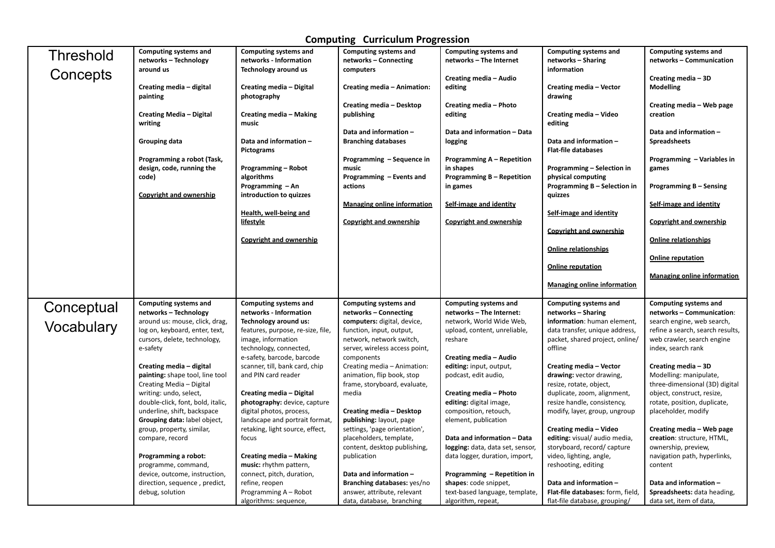| <b>Threshold</b> | Computing systems and                                       | Computing systems and                                  | Computing systems and                                      | Computing systems and                                    | Computing systems and                                  | Computing systems and                                     |
|------------------|-------------------------------------------------------------|--------------------------------------------------------|------------------------------------------------------------|----------------------------------------------------------|--------------------------------------------------------|-----------------------------------------------------------|
|                  | networks - Technology<br>around us                          | networks - Information                                 | networks - Connecting                                      | networks - The Internet                                  | networks - Sharing<br>information                      | networks - Communication                                  |
| Concepts         |                                                             | Technology around us                                   | computers                                                  | Creating media - Audio                                   |                                                        | Creating media - 3D                                       |
|                  | Creating media - digital                                    | Creating media - Digital                               | Creating media - Animation:                                | editing                                                  | Creating media - Vector                                | <b>Modelling</b>                                          |
|                  | painting                                                    | photography                                            |                                                            |                                                          | drawing                                                |                                                           |
|                  |                                                             |                                                        | <b>Creating media - Desktop</b>                            | Creating media - Photo                                   |                                                        | Creating media – Web page                                 |
|                  | <b>Creating Media - Digital</b>                             | Creating media - Making                                | publishing                                                 | editing                                                  | Creating media - Video                                 | creation                                                  |
|                  | writing                                                     | music                                                  |                                                            |                                                          | editing                                                |                                                           |
|                  |                                                             | Data and information -                                 | Data and information -                                     | Data and information - Data                              | Data and information -                                 | Data and information -<br><b>Spreadsheets</b>             |
|                  | <b>Grouping data</b>                                        | Pictograms                                             | <b>Branching databases</b>                                 | logging                                                  | <b>Flat-file databases</b>                             |                                                           |
|                  | Programming a robot (Task,                                  |                                                        | Programming - Sequence in                                  | <b>Programming A – Repetition</b>                        |                                                        | Programming - Variables in                                |
|                  | design, code, running the                                   | <b>Programming - Robot</b>                             | music                                                      | in shapes                                                | Programming - Selection in                             | games                                                     |
|                  | code)                                                       | algorithms                                             | Programming - Events and                                   | <b>Programming B - Repetition</b>                        | physical computing                                     |                                                           |
|                  |                                                             | Programming - An                                       | actions                                                    | in games                                                 | Programming B - Selection in                           | <b>Programming B - Sensing</b>                            |
|                  | <b>Copyright and ownership</b>                              | introduction to quizzes                                |                                                            |                                                          | quizzes                                                |                                                           |
|                  |                                                             |                                                        | <b>Managing online information</b>                         | Self-image and identity                                  |                                                        | Self-image and identity                                   |
|                  |                                                             | Health, well-being and<br>lifestyle                    | <b>Copyright and ownership</b>                             | <b>Copyright and ownership</b>                           | Self-image and identity                                | <b>Copyright and ownership</b>                            |
|                  |                                                             |                                                        |                                                            |                                                          | <b>Copyright and ownership</b>                         |                                                           |
|                  |                                                             | <b>Copyright and ownership</b>                         |                                                            |                                                          |                                                        | <b>Online relationships</b>                               |
|                  |                                                             |                                                        |                                                            |                                                          | <b>Online relationships</b>                            |                                                           |
|                  |                                                             |                                                        |                                                            |                                                          |                                                        | <b>Online reputation</b>                                  |
|                  |                                                             |                                                        |                                                            |                                                          | <b>Online reputation</b>                               |                                                           |
|                  |                                                             |                                                        |                                                            |                                                          |                                                        |                                                           |
|                  |                                                             |                                                        |                                                            |                                                          |                                                        | <b>Managing online information</b>                        |
|                  |                                                             |                                                        |                                                            |                                                          | <b>Managing online information</b>                     |                                                           |
|                  |                                                             |                                                        |                                                            |                                                          |                                                        |                                                           |
|                  | Computing systems and<br>networks - Technology              | <b>Computing systems and</b><br>networks - Information | Computing systems and<br>networks - Connecting             | <b>Computing systems and</b><br>networks - The Internet: | Computing systems and<br>networks – Sharing            | <b>Computing systems and</b><br>networks - Communication: |
| Conceptual       | around us: mouse, click, drag,                              | Technology around us:                                  | computers: digital, device,                                | network, World Wide Web,                                 | information: human element,                            | search engine, web search,                                |
| Vocabulary       | log on, keyboard, enter, text,                              | features, purpose, re-size, file,                      | function, input, output,                                   | upload, content, unreliable,                             | data transfer, unique address,                         | refine a search, search results,                          |
|                  | cursors, delete, technology,                                | image, information                                     | network, network switch,                                   | reshare                                                  | packet, shared project, online/                        | web crawler, search engine                                |
|                  | e-safety                                                    | technology, connected,                                 | server, wireless access point,                             |                                                          | offline                                                | index, search rank                                        |
|                  |                                                             | e-safety, barcode, barcode                             | components                                                 | Creating media - Audio                                   |                                                        |                                                           |
|                  | Creating media - digital                                    | scanner, till, bank card, chip                         | Creating media - Animation:                                | editing: input, output,                                  | Creating media - Vector                                | Creating media - 3D                                       |
|                  | painting: shape tool, line tool<br>Creating Media - Digital | and PIN card reader                                    | animation, flip book, stop<br>frame, storyboard, evaluate, | podcast, edit audio,                                     | drawing: vector drawing,                               | Modelling: manipulate,<br>three-dimensional (3D) digital  |
|                  | writing: undo, select,                                      | Creating media - Digital                               | media                                                      | Creating media - Photo                                   | resize, rotate, object,<br>duplicate, zoom, alignment, | object, construct, resize,                                |
|                  | double-click, font, bold, italic,                           | photography: device, capture                           |                                                            | editing: digital image,                                  | resize handle, consistency,                            | rotate, position, duplicate,                              |
|                  | underline, shift, backspace                                 | digital photos, process,                               | <b>Creating media - Desktop</b>                            | composition, retouch,                                    | modify, layer, group, ungroup                          | placeholder, modify                                       |
|                  | Grouping data: label object,                                | landscape and portrait format,                         | <b>publishing:</b> layout, page                            | element, publication                                     |                                                        |                                                           |
|                  | group, property, similar,                                   | retaking, light source, effect,                        | settings, 'page orientation',                              |                                                          | Creating media - Video                                 | Creating media - Web page                                 |
|                  | compare, record                                             | focus                                                  | placeholders, template,                                    | Data and information - Data                              | editing: visual/ audio media,                          | creation: structure, HTML,                                |
|                  |                                                             |                                                        | content, desktop publishing,                               | logging: data, data set, sensor,                         | storyboard, record/ capture                            | ownership, preview,                                       |
|                  | Programming a robot:                                        | <b>Creating media - Making</b>                         | publication                                                | data logger, duration, import,                           | video, lighting, angle,                                | navigation path, hyperlinks,<br>content                   |
|                  | programme, command,<br>device, outcome, instruction,        | music: rhythm pattern,<br>connect, pitch, duration,    | Data and information -                                     | Programming - Repetition in                              | reshooting, editing                                    |                                                           |
|                  | direction, sequence, predict,                               | refine, reopen                                         | Branching databases: yes/no                                | shapes: code snippet,                                    | Data and information -                                 | Data and information -                                    |
|                  | debug, solution                                             | Programming A - Robot                                  | answer, attribute, relevant                                | text-based language, template,                           | Flat-file databases: form, field,                      | Spreadsheets: data heading,                               |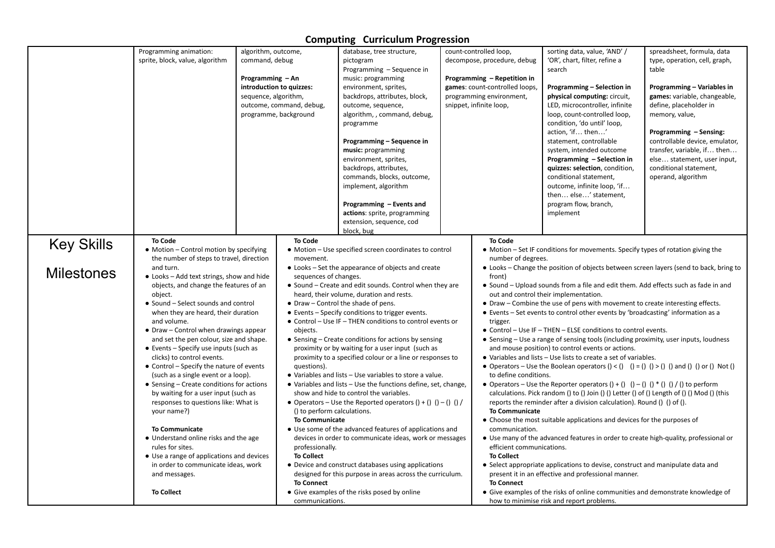|                   | Programming animation:                                    | algorithm, outcome,  |                                                                             | database, tree structure,                                       |                                                                                                  | count-controlled loop,         | sorting data, value, 'AND' /                                                                              | spreadsheet, formula, data     |
|-------------------|-----------------------------------------------------------|----------------------|-----------------------------------------------------------------------------|-----------------------------------------------------------------|--------------------------------------------------------------------------------------------------|--------------------------------|-----------------------------------------------------------------------------------------------------------|--------------------------------|
|                   | sprite, block, value, algorithm                           | command, debug       |                                                                             | pictogram                                                       |                                                                                                  | decompose, procedure, debug    | 'OR', chart, filter, refine a                                                                             | type, operation, cell, graph,  |
|                   |                                                           |                      |                                                                             | Programming - Sequence in                                       |                                                                                                  |                                | search                                                                                                    | table                          |
|                   |                                                           | Programming - An     |                                                                             | music: programming                                              |                                                                                                  | Programming - Repetition in    |                                                                                                           |                                |
|                   |                                                           |                      | introduction to quizzes:                                                    | environment, sprites,                                           |                                                                                                  | games: count-controlled loops, | Programming - Selection in                                                                                | Programming - Variables in     |
|                   |                                                           | sequence, algorithm, |                                                                             | backdrops, attributes, block,                                   |                                                                                                  | programming environment,       | physical computing: circuit,                                                                              | games: variable, changeable,   |
|                   |                                                           |                      | outcome, command, debug,                                                    | outcome, sequence,                                              |                                                                                                  | snippet, infinite loop,        | LED, microcontroller, infinite                                                                            | define, placeholder in         |
|                   |                                                           |                      | programme, background                                                       | algorithm, , command, debug,                                    |                                                                                                  |                                | loop, count-controlled loop,                                                                              | memory, value,                 |
|                   |                                                           |                      |                                                                             | programme                                                       |                                                                                                  |                                | condition, 'do until' loop,                                                                               |                                |
|                   |                                                           |                      |                                                                             |                                                                 |                                                                                                  |                                | action, 'if then'                                                                                         | Programming - Sensing:         |
|                   |                                                           |                      |                                                                             | Programming - Sequence in                                       |                                                                                                  |                                | statement, controllable                                                                                   | controllable device, emulator, |
|                   |                                                           |                      |                                                                             | music: programming                                              |                                                                                                  |                                | system, intended outcome                                                                                  | transfer, variable, if then    |
|                   |                                                           |                      |                                                                             | environment, sprites,                                           |                                                                                                  |                                | Programming - Selection in                                                                                | else statement, user input,    |
|                   |                                                           |                      |                                                                             | backdrops, attributes,                                          |                                                                                                  |                                | quizzes: selection, condition,                                                                            | conditional statement,         |
|                   |                                                           |                      |                                                                             | commands, blocks, outcome,                                      |                                                                                                  |                                | conditional statement,                                                                                    | operand, algorithm             |
|                   |                                                           |                      |                                                                             | implement, algorithm                                            |                                                                                                  |                                | outcome, infinite loop, 'if                                                                               |                                |
|                   |                                                           |                      |                                                                             |                                                                 |                                                                                                  |                                | then else' statement,                                                                                     |                                |
|                   |                                                           |                      |                                                                             | Programming - Events and                                        |                                                                                                  |                                | program flow, branch,                                                                                     |                                |
|                   |                                                           |                      |                                                                             | actions: sprite, programming                                    |                                                                                                  |                                | implement                                                                                                 |                                |
|                   |                                                           |                      |                                                                             | extension, sequence, cod                                        |                                                                                                  |                                |                                                                                                           |                                |
|                   |                                                           |                      |                                                                             | block, bug                                                      |                                                                                                  |                                |                                                                                                           |                                |
| <b>Key Skills</b> | <b>To Code</b><br>• Motion - Control motion by specifying |                      | <b>To Code</b>                                                              |                                                                 |                                                                                                  | <b>To Code</b>                 |                                                                                                           |                                |
|                   | the number of steps to travel, direction                  |                      | movement.                                                                   | • Motion – Use specified screen coordinates to control          |                                                                                                  | number of degrees.             | • Motion – Set IF conditions for movements. Specify types of rotation giving the                          |                                |
|                   | and turn.                                                 |                      |                                                                             |                                                                 |                                                                                                  |                                |                                                                                                           |                                |
| <b>Milestones</b> | • Looks - Add text strings, show and hide                 |                      | • Looks – Set the appearance of objects and create<br>sequences of changes. |                                                                 | • Looks – Change the position of objects between screen layers (send to back, bring to<br>front) |                                |                                                                                                           |                                |
|                   | objects, and change the features of an                    |                      |                                                                             | • Sound – Create and edit sounds. Control when they are         |                                                                                                  |                                | • Sound – Upload sounds from a file and edit them. Add effects such as fade in and                        |                                |
|                   | object.                                                   |                      |                                                                             | heard, their volume, duration and rests.                        |                                                                                                  |                                | out and control their implementation.                                                                     |                                |
|                   | • Sound – Select sounds and control                       |                      |                                                                             | • Draw – Control the shade of pens.                             |                                                                                                  |                                | • Draw – Combine the use of pens with movement to create interesting effects.                             |                                |
|                   | when they are heard, their duration                       |                      |                                                                             | • Events – Specify conditions to trigger events.                |                                                                                                  |                                | • Events – Set events to control other events by 'broadcasting' information as a                          |                                |
|                   | and volume.                                               |                      |                                                                             | • Control - Use IF - THEN conditions to control events or       |                                                                                                  | trigger.                       |                                                                                                           |                                |
|                   | • Draw – Control when drawings appear                     |                      | objects.                                                                    |                                                                 |                                                                                                  |                                | • Control - Use IF - THEN - ELSE conditions to control events.                                            |                                |
|                   | and set the pen colour, size and shape.                   |                      |                                                                             | • Sensing – Create conditions for actions by sensing            |                                                                                                  |                                | • Sensing – Use a range of sensing tools (including proximity, user inputs, loudness                      |                                |
|                   | • Events - Specify use inputs (such as                    |                      |                                                                             | proximity or by waiting for a user input (such as               |                                                                                                  |                                | and mouse position) to control events or actions.                                                         |                                |
|                   | clicks) to control events.                                |                      |                                                                             | proximity to a specified colour or a line or responses to       |                                                                                                  |                                | • Variables and lists - Use lists to create a set of variables.                                           |                                |
|                   | • Control - Specify the nature of events                  |                      | questions).                                                                 |                                                                 |                                                                                                  |                                | • Operators – Use the Boolean operators $() < ()$ $() = ()$ $() > ()$ $()$ and $()$ $()$ or $()$ Not $()$ |                                |
|                   | (such as a single event or a loop).                       |                      |                                                                             | • Variables and lists - Use variables to store a value.         |                                                                                                  | to define conditions.          |                                                                                                           |                                |
|                   | • Sensing – Create conditions for actions                 |                      |                                                                             | • Variables and lists - Use the functions define, set, change,  |                                                                                                  |                                | • Operators – Use the Reporter operators () + () () – () () * () () / () to perform                       |                                |
|                   | by waiting for a user input (such as                      |                      |                                                                             | show and hide to control the variables.                         |                                                                                                  |                                | calculations. Pick random () to () Join () () Letter () of () Length of () () Mod () (this                |                                |
|                   | responses to questions like: What is                      |                      | () to perform calculations.                                                 | • Operators – Use the Reported operators $() + () () - () () /$ |                                                                                                  | <b>To Communicate</b>          | reports the reminder after a division calculation). Round () () of ().                                    |                                |
|                   | your name?)                                               |                      | <b>To Communicate</b>                                                       |                                                                 |                                                                                                  |                                | • Choose the most suitable applications and devices for the purposes of                                   |                                |
|                   | <b>To Communicate</b>                                     |                      |                                                                             | • Use some of the advanced features of applications and         |                                                                                                  | communication.                 |                                                                                                           |                                |
|                   | • Understand online risks and the age                     |                      |                                                                             | devices in order to communicate ideas, work or messages         |                                                                                                  |                                | • Use many of the advanced features in order to create high-quality, professional or                      |                                |
|                   | rules for sites.                                          |                      | professionally.                                                             |                                                                 |                                                                                                  | efficient communications.      |                                                                                                           |                                |
|                   | • Use a range of applications and devices                 |                      | <b>To Collect</b>                                                           |                                                                 |                                                                                                  | <b>To Collect</b>              |                                                                                                           |                                |
|                   | in order to communicate ideas, work                       |                      |                                                                             | • Device and construct databases using applications             |                                                                                                  |                                | • Select appropriate applications to devise, construct and manipulate data and                            |                                |
|                   | and messages.                                             |                      |                                                                             | designed for this purpose in areas across the curriculum.       |                                                                                                  |                                | present it in an effective and professional manner.                                                       |                                |
|                   |                                                           |                      | <b>To Connect</b>                                                           |                                                                 |                                                                                                  | <b>To Connect</b>              |                                                                                                           |                                |
|                   | <b>To Collect</b>                                         |                      |                                                                             | • Give examples of the risks posed by online                    |                                                                                                  |                                | • Give examples of the risks of online communities and demonstrate knowledge of                           |                                |
|                   |                                                           |                      | communications.                                                             |                                                                 |                                                                                                  |                                | how to minimise risk and report problems.                                                                 |                                |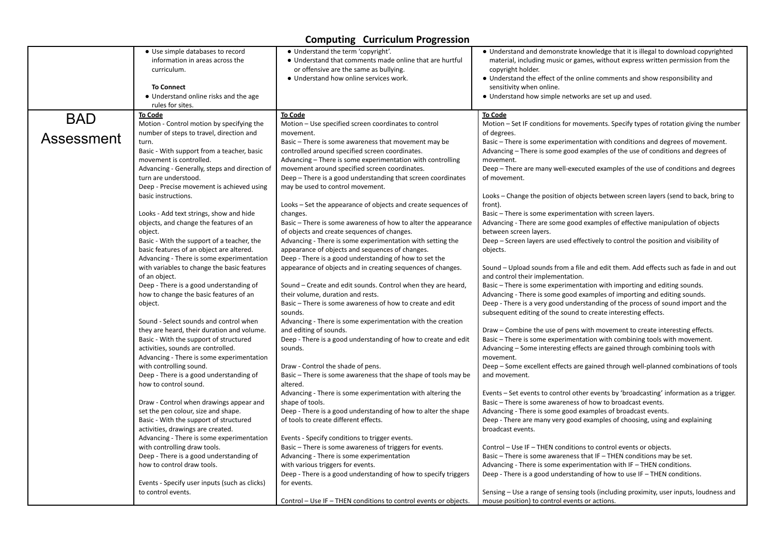|            | • Use simple databases to record<br>information in areas across the<br>curriculum.<br><b>To Connect</b><br>• Understand online risks and the age | • Understand the term 'copyright'.<br>• Understand that comments made online that are hurtful<br>or offensive are the same as bullying.<br>• Understand how online services work. | • Understand and demonstrate knowledge that it is illegal to download copyrighted<br>material, including music or games, without express written permission from the<br>copyright holder.<br>• Understand the effect of the online comments and show responsibility and<br>sensitivity when online.<br>• Understand how simple networks are set up and used. |
|------------|--------------------------------------------------------------------------------------------------------------------------------------------------|-----------------------------------------------------------------------------------------------------------------------------------------------------------------------------------|--------------------------------------------------------------------------------------------------------------------------------------------------------------------------------------------------------------------------------------------------------------------------------------------------------------------------------------------------------------|
|            | rules for sites.                                                                                                                                 |                                                                                                                                                                                   |                                                                                                                                                                                                                                                                                                                                                              |
| <b>BAD</b> | <b>To Code</b>                                                                                                                                   | <b>To Code</b>                                                                                                                                                                    | <b>To Code</b>                                                                                                                                                                                                                                                                                                                                               |
|            | Motion - Control motion by specifying the                                                                                                        | Motion – Use specified screen coordinates to control                                                                                                                              | Motion – Set IF conditions for movements. Specify types of rotation giving the number                                                                                                                                                                                                                                                                        |
|            | number of steps to travel, direction and                                                                                                         | movement.                                                                                                                                                                         | of degrees.                                                                                                                                                                                                                                                                                                                                                  |
| Assessment | turn.                                                                                                                                            | Basic - There is some awareness that movement may be                                                                                                                              | Basic - There is some experimentation with conditions and degrees of movement.                                                                                                                                                                                                                                                                               |
|            | Basic - With support from a teacher, basic                                                                                                       | controlled around specified screen coordinates.                                                                                                                                   | Advancing – There is some good examples of the use of conditions and degrees of                                                                                                                                                                                                                                                                              |
|            | movement is controlled.                                                                                                                          | Advancing - There is some experimentation with controlling                                                                                                                        | movement.                                                                                                                                                                                                                                                                                                                                                    |
|            | Advancing - Generally, steps and direction of                                                                                                    | movement around specified screen coordinates.                                                                                                                                     | Deep – There are many well-executed examples of the use of conditions and degrees                                                                                                                                                                                                                                                                            |
|            | turn are understood.                                                                                                                             | Deep – There is a good understanding that screen coordinates                                                                                                                      | of movement.                                                                                                                                                                                                                                                                                                                                                 |
|            | Deep - Precise movement is achieved using                                                                                                        | may be used to control movement.                                                                                                                                                  |                                                                                                                                                                                                                                                                                                                                                              |
|            | basic instructions.                                                                                                                              |                                                                                                                                                                                   | Looks – Change the position of objects between screen layers (send to back, bring to                                                                                                                                                                                                                                                                         |
|            |                                                                                                                                                  | Looks – Set the appearance of objects and create sequences of                                                                                                                     | front).                                                                                                                                                                                                                                                                                                                                                      |
|            | Looks - Add text strings, show and hide                                                                                                          | changes.                                                                                                                                                                          | Basic - There is some experimentation with screen layers.                                                                                                                                                                                                                                                                                                    |
|            | objects, and change the features of an                                                                                                           | Basic – There is some awareness of how to alter the appearance                                                                                                                    | Advancing - There are some good examples of effective manipulation of objects                                                                                                                                                                                                                                                                                |
|            | object.                                                                                                                                          | of objects and create sequences of changes.                                                                                                                                       | between screen layers.                                                                                                                                                                                                                                                                                                                                       |
|            | Basic - With the support of a teacher, the                                                                                                       | Advancing - There is some experimentation with setting the                                                                                                                        | Deep – Screen layers are used effectively to control the position and visibility of                                                                                                                                                                                                                                                                          |
|            | basic features of an object are altered.                                                                                                         | appearance of objects and sequences of changes.                                                                                                                                   | objects.                                                                                                                                                                                                                                                                                                                                                     |
|            | Advancing - There is some experimentation                                                                                                        | Deep - There is a good understanding of how to set the                                                                                                                            |                                                                                                                                                                                                                                                                                                                                                              |
|            | with variables to change the basic features                                                                                                      | appearance of objects and in creating sequences of changes.                                                                                                                       | Sound – Upload sounds from a file and edit them. Add effects such as fade in and out                                                                                                                                                                                                                                                                         |
|            | of an object.                                                                                                                                    |                                                                                                                                                                                   | and control their implementation.                                                                                                                                                                                                                                                                                                                            |
|            | Deep - There is a good understanding of                                                                                                          | Sound - Create and edit sounds. Control when they are heard,                                                                                                                      | Basic – There is some experimentation with importing and editing sounds.                                                                                                                                                                                                                                                                                     |
|            | how to change the basic features of an                                                                                                           | their volume, duration and rests.                                                                                                                                                 | Advancing - There is some good examples of importing and editing sounds.                                                                                                                                                                                                                                                                                     |
|            | object.                                                                                                                                          | Basic - There is some awareness of how to create and edit                                                                                                                         | Deep - There is a very good understanding of the process of sound import and the                                                                                                                                                                                                                                                                             |
|            |                                                                                                                                                  | sounds.                                                                                                                                                                           | subsequent editing of the sound to create interesting effects.                                                                                                                                                                                                                                                                                               |
|            | Sound - Select sounds and control when                                                                                                           | Advancing - There is some experimentation with the creation<br>and editing of sounds.                                                                                             |                                                                                                                                                                                                                                                                                                                                                              |
|            | they are heard, their duration and volume.                                                                                                       |                                                                                                                                                                                   | Draw – Combine the use of pens with movement to create interesting effects.                                                                                                                                                                                                                                                                                  |
|            | Basic - With the support of structured                                                                                                           | Deep - There is a good understanding of how to create and edit<br>sounds.                                                                                                         | Basic - There is some experimentation with combining tools with movement.<br>Advancing - Some interesting effects are gained through combining tools with                                                                                                                                                                                                    |
|            | activities, sounds are controlled.<br>Advancing - There is some experimentation                                                                  |                                                                                                                                                                                   | movement.                                                                                                                                                                                                                                                                                                                                                    |
|            | with controlling sound.                                                                                                                          | Draw - Control the shade of pens.                                                                                                                                                 | Deep - Some excellent effects are gained through well-planned combinations of tools                                                                                                                                                                                                                                                                          |
|            | Deep - There is a good understanding of                                                                                                          | Basic – There is some awareness that the shape of tools may be                                                                                                                    | and movement.                                                                                                                                                                                                                                                                                                                                                |
|            | how to control sound.                                                                                                                            | altered.                                                                                                                                                                          |                                                                                                                                                                                                                                                                                                                                                              |
|            |                                                                                                                                                  | Advancing - There is some experimentation with altering the                                                                                                                       | Events – Set events to control other events by 'broadcasting' information as a trigger.                                                                                                                                                                                                                                                                      |
|            | Draw - Control when drawings appear and                                                                                                          | shape of tools.                                                                                                                                                                   | Basic – There is some awareness of how to broadcast events.                                                                                                                                                                                                                                                                                                  |
|            | set the pen colour, size and shape.                                                                                                              | Deep - There is a good understanding of how to alter the shape                                                                                                                    | Advancing - There is some good examples of broadcast events.                                                                                                                                                                                                                                                                                                 |
|            | Basic - With the support of structured                                                                                                           | of tools to create different effects.                                                                                                                                             | Deep - There are many very good examples of choosing, using and explaining                                                                                                                                                                                                                                                                                   |
|            | activities, drawings are created.                                                                                                                |                                                                                                                                                                                   | broadcast events.                                                                                                                                                                                                                                                                                                                                            |
|            | Advancing - There is some experimentation                                                                                                        | Events - Specify conditions to trigger events.                                                                                                                                    |                                                                                                                                                                                                                                                                                                                                                              |
|            | with controlling draw tools.                                                                                                                     | Basic – There is some awareness of triggers for events.                                                                                                                           | Control – Use IF – THEN conditions to control events or objects.                                                                                                                                                                                                                                                                                             |
|            | Deep - There is a good understanding of                                                                                                          | Advancing - There is some experimentation                                                                                                                                         | Basic - There is some awareness that IF - THEN conditions may be set.                                                                                                                                                                                                                                                                                        |
|            | how to control draw tools.                                                                                                                       | with various triggers for events.                                                                                                                                                 | Advancing - There is some experimentation with IF - THEN conditions.                                                                                                                                                                                                                                                                                         |
|            |                                                                                                                                                  | Deep - There is a good understanding of how to specify triggers                                                                                                                   | Deep - There is a good understanding of how to use IF - THEN conditions.                                                                                                                                                                                                                                                                                     |
|            | Events - Specify user inputs (such as clicks)                                                                                                    | for events.                                                                                                                                                                       |                                                                                                                                                                                                                                                                                                                                                              |
|            | to control events.                                                                                                                               |                                                                                                                                                                                   | Sensing – Use a range of sensing tools (including proximity, user inputs, loudness and                                                                                                                                                                                                                                                                       |
|            |                                                                                                                                                  | Control - Use IF - THEN conditions to control events or objects.                                                                                                                  | mouse position) to control events or actions.                                                                                                                                                                                                                                                                                                                |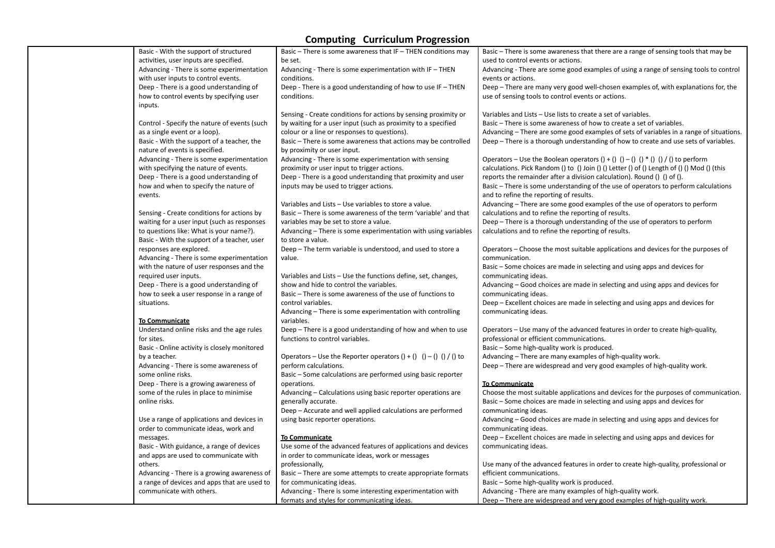| Basic - With the support of structured       | Basic – There is some awareness that IF – THEN conditions may           | Basic – There is some awareness that there are a range of sensing tools that may be        |
|----------------------------------------------|-------------------------------------------------------------------------|--------------------------------------------------------------------------------------------|
| activities, user inputs are specified.       | be set.                                                                 | used to control events or actions.                                                         |
| Advancing - There is some experimentation    | Advancing - There is some experimentation with IF - THEN                | Advancing - There are some good examples of using a range of sensing tools to control      |
| with user inputs to control events.          | conditions.                                                             | events or actions.                                                                         |
| Deep - There is a good understanding of      | Deep - There is a good understanding of how to use IF - THEN            | Deep - There are many very good well-chosen examples of, with explanations for, the        |
| how to control events by specifying user     | conditions.                                                             | use of sensing tools to control events or actions.                                         |
| inputs.                                      |                                                                         |                                                                                            |
|                                              | Sensing - Create conditions for actions by sensing proximity or         | Variables and Lists - Use lists to create a set of variables.                              |
| Control - Specify the nature of events (such | by waiting for a user input (such as proximity to a specified           | Basic - There is some awareness of how to create a set of variables.                       |
| as a single event or a loop).                | colour or a line or responses to questions).                            | Advancing - There are some good examples of sets of variables in a range of situations.    |
| Basic - With the support of a teacher, the   | Basic - There is some awareness that actions may be controlled          | Deep – There is a thorough understanding of how to create and use sets of variables.       |
| nature of events is specified.               | by proximity or user input.                                             |                                                                                            |
| Advancing - There is some experimentation    | Advancing - There is some experimentation with sensing                  | Operators – Use the Boolean operators () + () () – () () * () () / () to perform           |
| with specifying the nature of events.        | proximity or user input to trigger actions.                             | calculations. Pick Random () to () Join () () Letter () of () Length of () () Mod () (this |
|                                              |                                                                         |                                                                                            |
| Deep - There is a good understanding of      | Deep - There is a good understanding that proximity and user            | reports the remainder after a division calculation). Round () () of ().                    |
| how and when to specify the nature of        | inputs may be used to trigger actions.                                  | Basic - There is some understanding of the use of operators to perform calculations        |
| events.                                      |                                                                         | and to refine the reporting of results.                                                    |
|                                              | Variables and Lists - Use variables to store a value.                   | Advancing – There are some good examples of the use of operators to perform                |
| Sensing - Create conditions for actions by   | Basic - There is some awareness of the term 'variable' and that         | calculations and to refine the reporting of results.                                       |
| waiting for a user input (such as responses  | variables may be set to store a value.                                  | Deep - There is a thorough understanding of the use of operators to perform                |
| to questions like: What is your name?).      | Advancing - There is some experimentation with using variables          | calculations and to refine the reporting of results.                                       |
| Basic - With the support of a teacher, user  | to store a value.                                                       |                                                                                            |
| responses are explored.                      | Deep - The term variable is understood, and used to store a             | Operators – Choose the most suitable applications and devices for the purposes of          |
| Advancing - There is some experimentation    | value.                                                                  | communication.                                                                             |
| with the nature of user responses and the    |                                                                         | Basic - Some choices are made in selecting and using apps and devices for                  |
| required user inputs.                        | Variables and Lists - Use the functions define, set, changes,           | communicating ideas.                                                                       |
| Deep - There is a good understanding of      | show and hide to control the variables.                                 | Advancing – Good choices are made in selecting and using apps and devices for              |
| how to seek a user response in a range of    | Basic - There is some awareness of the use of functions to              | communicating ideas.                                                                       |
| situations.                                  | control variables.                                                      | Deep – Excellent choices are made in selecting and using apps and devices for              |
|                                              | Advancing – There is some experimentation with controlling              | communicating ideas.                                                                       |
| <b>To Communicate</b>                        | variables.                                                              |                                                                                            |
| Understand online risks and the age rules    | Deep – There is a good understanding of how and when to use             | Operators – Use many of the advanced features in order to create high-quality,             |
| for sites.                                   | functions to control variables.                                         | professional or efficient communications.                                                  |
| Basic - Online activity is closely monitored |                                                                         | Basic - Some high-quality work is produced.                                                |
| by a teacher.                                | Operators – Use the Reporter operators $() + ()$ $() - ()$ $() / ()$ to | Advancing - There are many examples of high-quality work.                                  |
| Advancing - There is some awareness of       | perform calculations.                                                   | Deep - There are widespread and very good examples of high-quality work.                   |
| some online risks.                           | Basic - Some calculations are performed using basic reporter            |                                                                                            |
| Deep - There is a growing awareness of       | operations.                                                             | <b>To Communicate</b>                                                                      |
| some of the rules in place to minimise       | Advancing - Calculations using basic reporter operations are            | Choose the most suitable applications and devices for the purposes of communication.       |
| online risks.                                | generally accurate.                                                     | Basic - Some choices are made in selecting and using apps and devices for                  |
|                                              | Deep - Accurate and well applied calculations are performed             | communicating ideas.                                                                       |
|                                              |                                                                         |                                                                                            |
| Use a range of applications and devices in   | using basic reporter operations.                                        | Advancing – Good choices are made in selecting and using apps and devices for              |
| order to communicate ideas, work and         |                                                                         | communicating ideas.                                                                       |
| messages.                                    | <b>To Communicate</b>                                                   | Deep - Excellent choices are made in selecting and using apps and devices for              |
| Basic - With guidance, a range of devices    | Use some of the advanced features of applications and devices           | communicating ideas.                                                                       |
| and apps are used to communicate with        | in order to communicate ideas, work or messages                         |                                                                                            |
| others.                                      | professionally,                                                         | Use many of the advanced features in order to create high-quality, professional or         |
| Advancing - There is a growing awareness of  | Basic - There are some attempts to create appropriate formats           | efficient communications.                                                                  |
| a range of devices and apps that are used to | for communicating ideas.                                                | Basic - Some high-quality work is produced.                                                |
| communicate with others.                     | Advancing - There is some interesting experimentation with              | Advancing - There are many examples of high-quality work.                                  |
|                                              | formats and styles for communicating ideas.                             | Deep - There are widespread and very good examples of high-quality work.                   |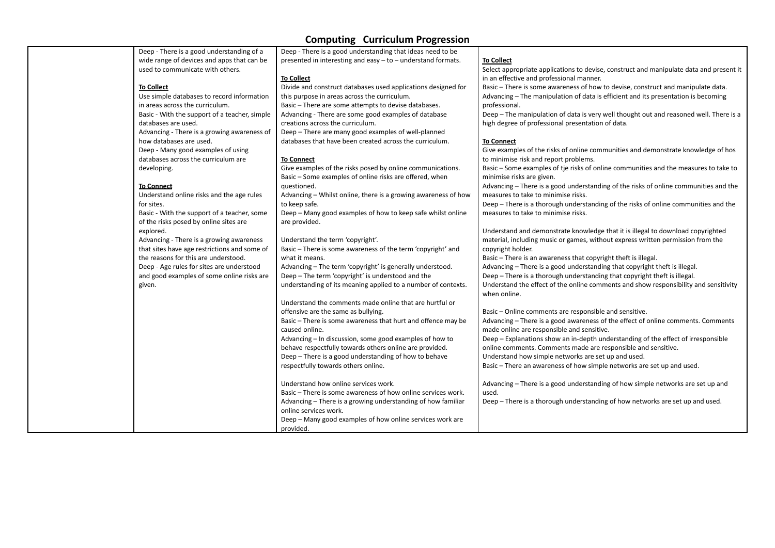| Deep - There is a good understanding of a     | Deep - There is a good understanding that ideas need to be     |                                                                                         |
|-----------------------------------------------|----------------------------------------------------------------|-----------------------------------------------------------------------------------------|
| wide range of devices and apps that can be    | presented in interesting and easy - to - understand formats.   | <b>To Collect</b>                                                                       |
| used to communicate with others.              |                                                                | Select appropriate applications to devise, construct and manipulate data and present it |
|                                               | <b>To Collect</b>                                              | in an effective and professional manner.                                                |
| <b>To Collect</b>                             | Divide and construct databases used applications designed for  | Basic - There is some awareness of how to devise, construct and manipulate data.        |
| Use simple databases to record information    | this purpose in areas across the curriculum.                   | Advancing - The manipulation of data is efficient and its presentation is becoming      |
| in areas across the curriculum.               | Basic - There are some attempts to devise databases.           | professional.                                                                           |
| Basic - With the support of a teacher, simple | Advancing - There are some good examples of database           | Deep - The manipulation of data is very well thought out and reasoned well. There is a  |
| databases are used.                           | creations across the curriculum.                               | high degree of professional presentation of data.                                       |
| Advancing - There is a growing awareness of   | Deep - There are many good examples of well-planned            |                                                                                         |
| how databases are used.                       | databases that have been created across the curriculum.        | To Connect                                                                              |
| Deep - Many good examples of using            |                                                                | Give examples of the risks of online communities and demonstrate knowledge of hos       |
| databases across the curriculum are           | <b>To Connect</b>                                              | to minimise risk and report problems.                                                   |
| developing.                                   | Give examples of the risks posed by online communications.     | Basic - Some examples of tje risks of online communities and the measures to take to    |
|                                               | Basic - Some examples of online risks are offered, when        | minimise risks are given.                                                               |
| <b>To Connect</b>                             | questioned.                                                    | Advancing - There is a good understanding of the risks of online communities and the    |
| Understand online risks and the age rules     | Advancing - Whilst online, there is a growing awareness of how | measures to take to minimise risks.                                                     |
| for sites.                                    | to keep safe.                                                  | Deep - There is a thorough understanding of the risks of online communities and the     |
| Basic - With the support of a teacher, some   | Deep - Many good examples of how to keep safe whilst online    | measures to take to minimise risks.                                                     |
| of the risks posed by online sites are        | are provided.                                                  |                                                                                         |
| explored.                                     |                                                                | Understand and demonstrate knowledge that it is illegal to download copyrighted         |
| Advancing - There is a growing awareness      | Understand the term 'copyright'.                               | material, including music or games, without express written permission from the         |
| that sites have age restrictions and some of  | Basic - There is some awareness of the term 'copyright' and    | copyright holder.                                                                       |
| the reasons for this are understood.          | what it means.                                                 | Basic - There is an awareness that copyright theft is illegal.                          |
| Deep - Age rules for sites are understood     | Advancing - The term 'copyright' is generally understood.      | Advancing - There is a good understanding that copyright theft is illegal.              |
| and good examples of some online risks are    | Deep - The term 'copyright' is understood and the              | Deep - There is a thorough understanding that copyright theft is illegal.               |
| given.                                        | understanding of its meaning applied to a number of contexts.  | Understand the effect of the online comments and show responsibility and sensitivity    |
|                                               |                                                                | when online.                                                                            |
|                                               | Understand the comments made online that are hurtful or        |                                                                                         |
|                                               | offensive are the same as bullying.                            | Basic - Online comments are responsible and sensitive.                                  |
|                                               | Basic - There is some awareness that hurt and offence may be   | Advancing - There is a good awareness of the effect of online comments. Comments        |
|                                               | caused online.                                                 | made online are responsible and sensitive.                                              |
|                                               | Advancing – In discussion, some good examples of how to        | Deep - Explanations show an in-depth understanding of the effect of irresponsible       |
|                                               | behave respectfully towards others online are provided.        | online comments. Comments made are responsible and sensitive.                           |
|                                               | Deep - There is a good understanding of how to behave          | Understand how simple networks are set up and used.                                     |
|                                               | respectfully towards others online.                            | Basic - There an awareness of how simple networks are set up and used.                  |
|                                               |                                                                |                                                                                         |
|                                               | Understand how online services work.                           | Advancing - There is a good understanding of how simple networks are set up and         |
|                                               | Basic - There is some awareness of how online services work.   | used.                                                                                   |
|                                               | Advancing - There is a growing understanding of how familiar   | Deep - There is a thorough understanding of how networks are set up and used.           |
|                                               | online services work.                                          |                                                                                         |
|                                               | Deep - Many good examples of how online services work are      |                                                                                         |
|                                               | provided.                                                      |                                                                                         |